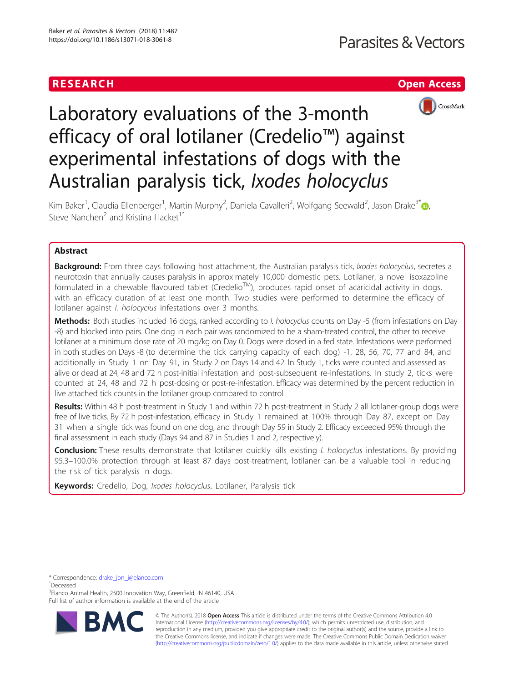



# Laboratory evaluations of the 3-month efficacy of oral lotilaner (Credelio™) against experimental infestations of dogs with the Australian paralysis tick, Ixodes holocyclus

Kim Baker<sup>1</sup>, Claudia Ellenberger<sup>1</sup>, Martin Murphy<sup>2</sup>, Daniela Cavalleri<sup>2</sup>, Wolfgang Seewald<sup>2</sup>, Jason Drake<sup>3[\\*](http://orcid.org/0000-0001-6203-0852)</sup>@, Steve Nanchen<sup>2</sup> and Kristina Hacket<sup>1</sup><sup>^</sup>

# Abstract

Background: From three days following host attachment, the Australian paralysis tick, Ixodes holocyclus, secretes a neurotoxin that annually causes paralysis in approximately 10,000 domestic pets. Lotilaner, a novel isoxazoline formulated in a chewable flavoured tablet (CredelioTM), produces rapid onset of acaricidal activity in dogs, with an efficacy duration of at least one month. Two studies were performed to determine the efficacy of lotilaner against I. holocyclus infestations over 3 months.

Methods: Both studies included 16 dogs, ranked according to I. holocyclus counts on Day -5 (from infestations on Day -8) and blocked into pairs. One dog in each pair was randomized to be a sham-treated control, the other to receive lotilaner at a minimum dose rate of 20 mg/kg on Day 0. Dogs were dosed in a fed state. Infestations were performed in both studies on Days -8 (to determine the tick carrying capacity of each dog) -1, 28, 56, 70, 77 and 84, and additionally in Study 1 on Day 91, in Study 2 on Days 14 and 42. In Study 1, ticks were counted and assessed as alive or dead at 24, 48 and 72 h post-initial infestation and post-subsequent re-infestations. In study 2, ticks were counted at 24, 48 and 72 h post-dosing or post-re-infestation. Efficacy was determined by the percent reduction in live attached tick counts in the lotilaner group compared to control.

Results: Within 48 h post-treatment in Study 1 and within 72 h post-treatment in Study 2 all lotilaner-group dogs were free of live ticks. By 72 h post-infestation, efficacy in Study 1 remained at 100% through Day 87, except on Day 31 when a single tick was found on one dog, and through Day 59 in Study 2. Efficacy exceeded 95% through the final assessment in each study (Days 94 and 87 in Studies 1 and 2, respectively).

**Conclusion:** These results demonstrate that lotilaner quickly kills existing *I. holocyclus* infestations. By providing 95.3–100.0% protection through at least 87 days post-treatment, lotilaner can be a valuable tool in reducing the risk of tick paralysis in dogs.

Keywords: Credelio, Dog, Ixodes holocyclus, Lotilaner, Paralysis tick

\* Correspondence: [drake\\_jon\\_j@elanco.com](mailto:drake_jon_j@elanco.com)

ˆDeceased

<sup>3</sup> Elanco Animal Health, 2500 Innovation Way, Greenfield, IN 46140, USA Full list of author information is available at the end of the article



© The Author(s). 2018 Open Access This article is distributed under the terms of the Creative Commons Attribution 4.0 International License [\(http://creativecommons.org/licenses/by/4.0/](http://creativecommons.org/licenses/by/4.0/)), which permits unrestricted use, distribution, and reproduction in any medium, provided you give appropriate credit to the original author(s) and the source, provide a link to the Creative Commons license, and indicate if changes were made. The Creative Commons Public Domain Dedication waiver [\(http://creativecommons.org/publicdomain/zero/1.0/](http://creativecommons.org/publicdomain/zero/1.0/)) applies to the data made available in this article, unless otherwise stated.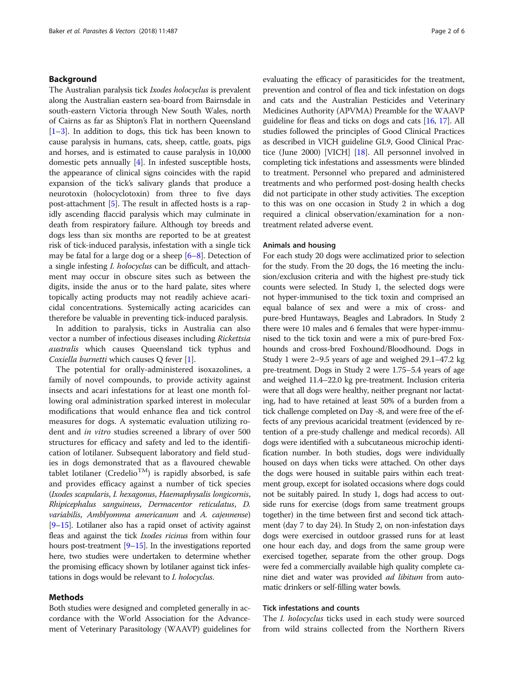# Background

The Australian paralysis tick Ixodes holocyclus is prevalent along the Australian eastern sea-board from Bairnsdale in south-eastern Victoria through New South Wales, north of Cairns as far as Shipton's Flat in northern Queensland  $[1-3]$  $[1-3]$  $[1-3]$  $[1-3]$  $[1-3]$ . In addition to dogs, this tick has been known to cause paralysis in humans, cats, sheep, cattle, goats, pigs and horses, and is estimated to cause paralysis in 10,000 domestic pets annually [\[4\]](#page-5-0). In infested susceptible hosts, the appearance of clinical signs coincides with the rapid expansion of the tick's salivary glands that produce a neurotoxin (holocyclotoxin) from three to five days post-attachment [\[5](#page-5-0)]. The result in affected hosts is a rapidly ascending flaccid paralysis which may culminate in death from respiratory failure. Although toy breeds and dogs less than six months are reported to be at greatest risk of tick-induced paralysis, infestation with a single tick may be fatal for a large dog or a sheep [\[6](#page-5-0)–[8\]](#page-5-0). Detection of a single infesting I. holocyclus can be difficult, and attachment may occur in obscure sites such as between the digits, inside the anus or to the hard palate, sites where topically acting products may not readily achieve acaricidal concentrations. Systemically acting acaricides can therefore be valuable in preventing tick-induced paralysis.

In addition to paralysis, ticks in Australia can also vector a number of infectious diseases including Rickettsia australis which causes Queensland tick typhus and Coxiella burnetti which causes O fever [[1\]](#page-5-0).

The potential for orally-administered isoxazolines, a family of novel compounds, to provide activity against insects and acari infestations for at least one month following oral administration sparked interest in molecular modifications that would enhance flea and tick control measures for dogs. A systematic evaluation utilizing rodent and in vitro studies screened a library of over 500 structures for efficacy and safety and led to the identification of lotilaner. Subsequent laboratory and field studies in dogs demonstrated that as a flavoured chewable tablet lotilaner (Credelio<sup>TM</sup>) is rapidly absorbed, is safe and provides efficacy against a number of tick species (Ixodes scapularis, I. hexagonus, Haemaphysalis longicornis, Rhipicephalus sanguineus, Dermacentor reticulatus, D. variabilis, Amblyomma americanum and A. cajennense) [[9](#page-5-0)–[15\]](#page-5-0). Lotilaner also has a rapid onset of activity against fleas and against the tick Ixodes ricinus from within four hours post-treatment [\[9](#page-5-0)–[15](#page-5-0)]. In the investigations reported here, two studies were undertaken to determine whether the promising efficacy shown by lotilaner against tick infestations in dogs would be relevant to I. holocyclus.

# Methods

Both studies were designed and completed generally in accordance with the World Association for the Advancement of Veterinary Parasitology (WAAVP) guidelines for evaluating the efficacy of parasiticides for the treatment, prevention and control of flea and tick infestation on dogs and cats and the Australian Pesticides and Veterinary Medicines Authority (APVMA) Preamble for the WAAVP guideline for fleas and ticks on dogs and cats [[16,](#page-5-0) [17](#page-5-0)]. All studies followed the principles of Good Clinical Practices as described in VICH guideline GL9, Good Clinical Practice (June 2000) [VICH] [[18](#page-5-0)]. All personnel involved in completing tick infestations and assessments were blinded to treatment. Personnel who prepared and administered treatments and who performed post-dosing health checks did not participate in other study activities. The exception to this was on one occasion in Study 2 in which a dog required a clinical observation/examination for a nontreatment related adverse event.

#### Animals and housing

For each study 20 dogs were acclimatized prior to selection for the study. From the 20 dogs, the 16 meeting the inclusion/exclusion criteria and with the highest pre-study tick counts were selected. In Study 1, the selected dogs were not hyper-immunised to the tick toxin and comprised an equal balance of sex and were a mix of cross- and pure-bred Huntaways, Beagles and Labradors. In Study 2 there were 10 males and 6 females that were hyper-immunised to the tick toxin and were a mix of pure-bred Foxhounds and cross-bred Foxhound/Bloodhound. Dogs in Study 1 were 2–9.5 years of age and weighed 29.1–47.2 kg pre-treatment. Dogs in Study 2 were 1.75–5.4 years of age and weighed 11.4–22.0 kg pre-treatment. Inclusion criteria were that all dogs were healthy, neither pregnant nor lactating, had to have retained at least 50% of a burden from a tick challenge completed on Day -8, and were free of the effects of any previous acaricidal treatment (evidenced by retention of a pre-study challenge and medical records). All dogs were identified with a subcutaneous microchip identification number. In both studies, dogs were individually housed on days when ticks were attached. On other days the dogs were housed in suitable pairs within each treatment group, except for isolated occasions where dogs could not be suitably paired. In study 1, dogs had access to outside runs for exercise (dogs from same treatment groups together) in the time between first and second tick attachment (day 7 to day 24). In Study 2, on non-infestation days dogs were exercised in outdoor grassed runs for at least one hour each day, and dogs from the same group were exercised together, separate from the other group. Dogs were fed a commercially available high quality complete canine diet and water was provided *ad libitum* from automatic drinkers or self-filling water bowls.

# Tick infestations and counts

The *I. holocyclus* ticks used in each study were sourced from wild strains collected from the Northern Rivers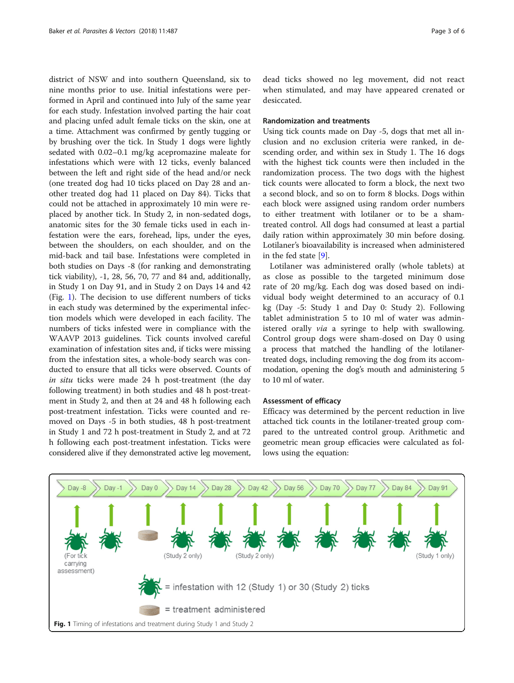district of NSW and into southern Queensland, six to nine months prior to use. Initial infestations were performed in April and continued into July of the same year for each study. Infestation involved parting the hair coat and placing unfed adult female ticks on the skin, one at a time. Attachment was confirmed by gently tugging or by brushing over the tick. In Study 1 dogs were lightly sedated with 0.02–0.1 mg/kg acepromazine maleate for infestations which were with 12 ticks, evenly balanced between the left and right side of the head and/or neck (one treated dog had 10 ticks placed on Day 28 and another treated dog had 11 placed on Day 84). Ticks that could not be attached in approximately 10 min were replaced by another tick. In Study 2, in non-sedated dogs, anatomic sites for the 30 female ticks used in each infestation were the ears, forehead, lips, under the eyes, between the shoulders, on each shoulder, and on the mid-back and tail base. Infestations were completed in both studies on Days -8 (for ranking and demonstrating tick viability), -1, 28, 56, 70, 77 and 84 and, additionally, in Study 1 on Day 91, and in Study 2 on Days 14 and 42 (Fig. 1). The decision to use different numbers of ticks in each study was determined by the experimental infection models which were developed in each facility. The numbers of ticks infested were in compliance with the WAAVP 2013 guidelines. Tick counts involved careful examination of infestation sites and, if ticks were missing from the infestation sites, a whole-body search was conducted to ensure that all ticks were observed. Counts of in situ ticks were made 24 h post-treatment (the day following treatment) in both studies and 48 h post-treatment in Study 2, and then at 24 and 48 h following each post-treatment infestation. Ticks were counted and removed on Days -5 in both studies, 48 h post-treatment in Study 1 and 72 h post-treatment in Study 2, and at 72 h following each post-treatment infestation. Ticks were considered alive if they demonstrated active leg movement,

dead ticks showed no leg movement, did not react when stimulated, and may have appeared crenated or desiccated.

# Randomization and treatments

Using tick counts made on Day -5, dogs that met all inclusion and no exclusion criteria were ranked, in descending order, and within sex in Study 1. The 16 dogs with the highest tick counts were then included in the randomization process. The two dogs with the highest tick counts were allocated to form a block, the next two a second block, and so on to form 8 blocks. Dogs within each block were assigned using random order numbers to either treatment with lotilaner or to be a shamtreated control. All dogs had consumed at least a partial daily ration within approximately 30 min before dosing. Lotilaner's bioavailability is increased when administered in the fed state [[9\]](#page-5-0).

Lotilaner was administered orally (whole tablets) at as close as possible to the targeted minimum dose rate of 20 mg/kg. Each dog was dosed based on individual body weight determined to an accuracy of 0.1 kg (Day -5: Study 1 and Day 0: Study 2). Following tablet administration 5 to 10 ml of water was administered orally *via* a syringe to help with swallowing. Control group dogs were sham-dosed on Day 0 using a process that matched the handling of the lotilanertreated dogs, including removing the dog from its accommodation, opening the dog's mouth and administering 5 to 10 ml of water.

# Assessment of efficacy

Efficacy was determined by the percent reduction in live attached tick counts in the lotilaner-treated group compared to the untreated control group. Arithmetic and geometric mean group efficacies were calculated as follows using the equation:

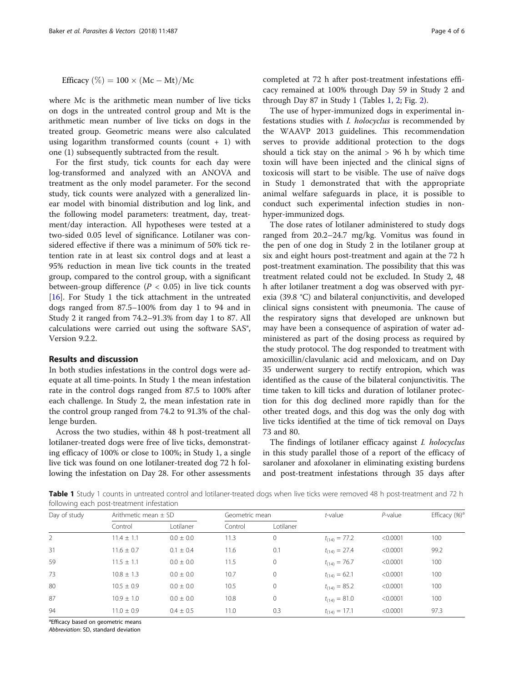Efficacy  $(\%) = 100 \times (Mc - Mt)/Mc$ 

where Mc is the arithmetic mean number of live ticks on dogs in the untreated control group and Mt is the arithmetic mean number of live ticks on dogs in the treated group. Geometric means were also calculated using logarithm transformed counts (count  $+1$ ) with one (1) subsequently subtracted from the result.

For the first study, tick counts for each day were log-transformed and analyzed with an ANOVA and treatment as the only model parameter. For the second study, tick counts were analyzed with a generalized linear model with binomial distribution and log link, and the following model parameters: treatment, day, treatment/day interaction. All hypotheses were tested at a two-sided 0.05 level of significance. Lotilaner was considered effective if there was a minimum of 50% tick retention rate in at least six control dogs and at least a 95% reduction in mean live tick counts in the treated group, compared to the control group, with a significant between-group difference ( $P < 0.05$ ) in live tick counts [[16\]](#page-5-0). For Study 1 the tick attachment in the untreated dogs ranged from 87.5–100% from day 1 to 94 and in Study 2 it ranged from 74.2–91.3% from day 1 to 87. All calculations were carried out using the software SAS®, Version 9.2.2.

# Results and discussion

In both studies infestations in the control dogs were adequate at all time-points. In Study 1 the mean infestation rate in the control dogs ranged from 87.5 to 100% after each challenge. In Study 2, the mean infestation rate in the control group ranged from 74.2 to 91.3% of the challenge burden.

Across the two studies, within 48 h post-treatment all lotilaner-treated dogs were free of live ticks, demonstrating efficacy of 100% or close to 100%; in Study 1, a single live tick was found on one lotilaner-treated dog 72 h following the infestation on Day 28. For other assessments completed at 72 h after post-treatment infestations efficacy remained at 100% through Day 59 in Study 2 and through Day 87 in Study 1 (Tables 1, [2;](#page-4-0) Fig. [2](#page-4-0)).

The use of hyper-immunized dogs in experimental infestations studies with I. holocyclus is recommended by the WAAVP 2013 guidelines. This recommendation serves to provide additional protection to the dogs should a tick stay on the animal  $> 96$  h by which time toxin will have been injected and the clinical signs of toxicosis will start to be visible. The use of naïve dogs in Study 1 demonstrated that with the appropriate animal welfare safeguards in place, it is possible to conduct such experimental infection studies in nonhyper-immunized dogs.

The dose rates of lotilaner administered to study dogs ranged from 20.2–24.7 mg/kg. Vomitus was found in the pen of one dog in Study 2 in the lotilaner group at six and eight hours post-treatment and again at the 72 h post-treatment examination. The possibility that this was treatment related could not be excluded. In Study 2, 48 h after lotilaner treatment a dog was observed with pyrexia (39.8 °C) and bilateral conjunctivitis, and developed clinical signs consistent with pneumonia. The cause of the respiratory signs that developed are unknown but may have been a consequence of aspiration of water administered as part of the dosing process as required by the study protocol. The dog responded to treatment with amoxicillin/clavulanic acid and meloxicam, and on Day 35 underwent surgery to rectify entropion, which was identified as the cause of the bilateral conjunctivitis. The time taken to kill ticks and duration of lotilaner protection for this dog declined more rapidly than for the other treated dogs, and this dog was the only dog with live ticks identified at the time of tick removal on Days 73 and 80.

The findings of lotilaner efficacy against I. holocyclus in this study parallel those of a report of the efficacy of sarolaner and afoxolaner in eliminating existing burdens and post-treatment infestations through 35 days after

Table 1 Study 1 counts in untreated control and lotilaner-treated dogs when live ticks were removed 48 h post-treatment and 72 h following each post-treatment infestation

| Day of study | Arithmetic mean $\pm$ SD |               | Geometric mean |              | t-value           | $P$ -value | Efficacy $(\%)^a$ |
|--------------|--------------------------|---------------|----------------|--------------|-------------------|------------|-------------------|
|              | Control                  | Lotilaner     | Control        | Lotilaner    |                   |            |                   |
| 2            | $11.4 \pm 1.1$           | $0.0 + 0.0$   | 11.3           | $\mathbf{0}$ | $t_{(14)} = 77.2$ | < 0.0001   | 100               |
| 31           | $11.6 \pm 0.7$           | $0.1 \pm 0.4$ | 11.6           | 0.1          | $t_{(14)} = 27.4$ | < 0.0001   | 99.2              |
| 59           | $11.5 \pm 1.1$           | $0.0 \pm 0.0$ | 11.5           | $\mathbf 0$  | $t_{(14)} = 76.7$ | < 0.0001   | 100               |
| 73           | $10.8 \pm 1.3$           | $0.0 \pm 0.0$ | 10.7           | $\mathbf{0}$ | $t_{(14)} = 62.1$ | < 0.0001   | 100               |
| 80           | $10.5 + 0.9$             | $0.0 + 0.0$   | 10.5           | $\circ$      | $t_{(14)} = 85.2$ | < 0.0001   | 100               |
| 87           | $10.9 \pm 1.0$           | $0.0 \pm 0.0$ | 10.8           | 0            | $t_{(14)} = 81.0$ | < 0.0001   | 100               |
| 94           | $11.0 + 0.9$             | $0.4 \pm 0.5$ | 11.0           | 0.3          | $t_{(14)} = 17.1$ | < 0.0001   | 97.3              |

<sup>a</sup>Efficacy based on geometric means

Abbreviation: SD, standard deviation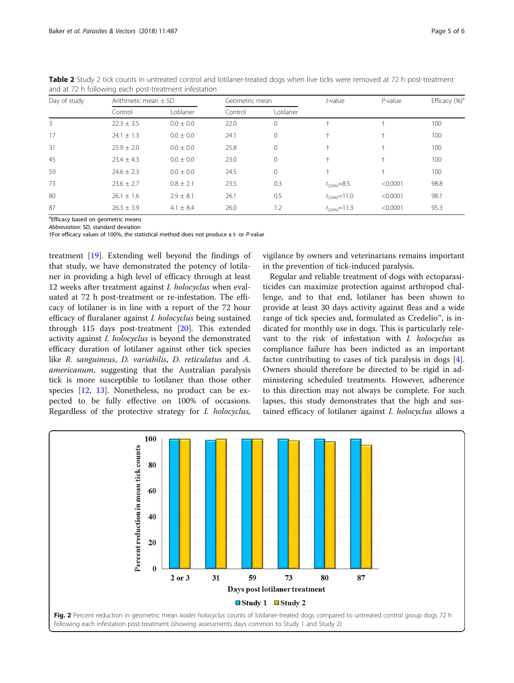| Day of study | Arithmetic mean $\pm$ SD |               | Geometric mean |              | $t$ -value         | $P$ -value | Efficacy $(\%)^a$ |
|--------------|--------------------------|---------------|----------------|--------------|--------------------|------------|-------------------|
|              | Control                  | Lotilaner     | Control        | Lotilaner    |                    |            |                   |
| 3            | $22.3 \pm 3.5$           | $0.0 \pm 0.0$ | 22.0           | $\Omega$     |                    |            | 100               |
| 17           | $24.1 \pm 1.3$           | $0.0 \pm 0.0$ | 24.1           | $\mathbf{0}$ |                    |            | 100               |
| 31           | $25.9 \pm 2.0$           | $0.0 \pm 0.0$ | 25.8           | $\mathbf 0$  | t                  |            | 100               |
| 45           | $23.4 \pm 4.3$           | $0.0 \pm 0.0$ | 23.0           | $\mathbf{0}$ | $^{+}$             |            | 100               |
| 59           | $24.6 \pm 2.3$           | $0.0 \pm 0.0$ | 24.5           | $\Omega$     | $^+$               |            | 100               |
| 73           | $23.6 \pm 2.7$           | $0.8 \pm 2.1$ | 23.5           | 0.3          | $t_{(266)} = 8.5$  | < 0.0001   | 98.8              |
| 80           | $26.1 \pm 1.6$           | $2.9 \pm 8.1$ | 26.1           | 0.5          | $t_{(266)} = 11.0$ | < 0.0001   | 98.1              |
| 87           | $26.3 \pm 3.9$           | $4.1 \pm 8.4$ | 26.0           | 1.2          | $t_{(266)} = 11.3$ | < 0.0001   | 95.3              |

<span id="page-4-0"></span>Table 2 Study 2 tick counts in untreated control and lotilaner-treated dogs when live ticks were removed at 72 h post-treatment and at 72 h following each post-treatment infestation

<sup>a</sup>Efficacy based on geometric means

Abbreviation: SD, standard deviation

†For efficacy values of 100%, the statistical method does not produce a t- or P-value

treatment [[19\]](#page-5-0). Extending well beyond the findings of that study, we have demonstrated the potency of lotilaner in providing a high level of efficacy through at least 12 weeks after treatment against I. holocyclus when evaluated at 72 h post-treatment or re-infestation. The efficacy of lotilaner is in line with a report of the 72 hour efficacy of fluralaner against I. holocyclus being sustained through 115 days post-treatment [[20\]](#page-5-0). This extended activity against I. holocyclus is beyond the demonstrated efficacy duration of lotilaner against other tick species like R. sanguineus, D. variabilis, D. reticulatus and A. americanum, suggesting that the Australian paralysis tick is more susceptible to lotilaner than those other species [[12,](#page-5-0) [13](#page-5-0)]. Nonetheless, no product can be expected to be fully effective on 100% of occasions. Regardless of the protective strategy for I. holocyclus,

vigilance by owners and veterinarians remains important in the prevention of tick-induced paralysis.

Regular and reliable treatment of dogs with ectoparasiticides can maximize protection against arthropod challenge, and to that end, lotilaner has been shown to provide at least 30 days activity against fleas and a wide range of tick species and, formulated as Credelio™, is indicated for monthly use in dogs. This is particularly relevant to the risk of infestation with I. holocyclus as compliance failure has been indicted as an important factor contributing to cases of tick paralysis in dogs [\[4](#page-5-0)]. Owners should therefore be directed to be rigid in administering scheduled treatments. However, adherence to this direction may not always be complete. For such lapses, this study demonstrates that the high and sustained efficacy of lotilaner against I. holocyclus allows a